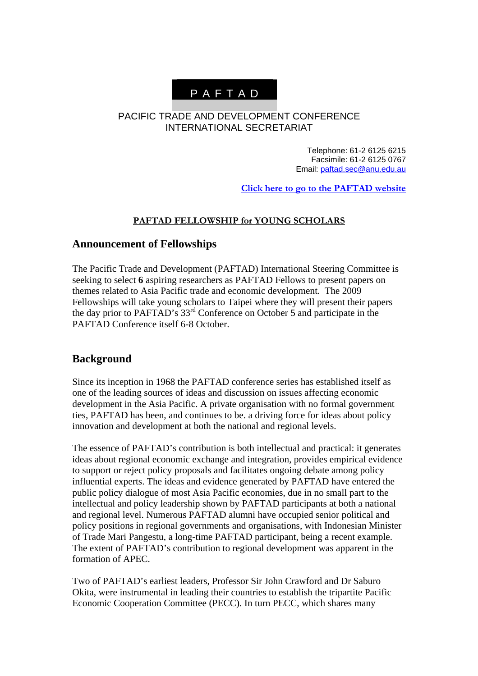# P A F T A D

#### PACIFIC TRADE AND DEVELOPMENT CONFERENCE INTERNATIONAL SECRETARIAT

Telephone: 61-2 6125 6215 Facsimile: 61-2 6125 0767 Email: [paftad.sec@anu.edu.au](mailto:paftad.sec@anu.edu.au)

**[Click here to go to the PAFTAD website](http://www.eaber.org/intranet/publish/paftad/index.php)**

#### **PAFTAD FELLOWSHIP for YOUNG SCHOLARS**

#### **Announcement of Fellowships**

The Pacific Trade and Development (PAFTAD) International Steering Committee is seeking to select **6** aspiring researchers as PAFTAD Fellows to present papers on themes related to Asia Pacific trade and economic development. The 2009 Fellowships will take young scholars to Taipei where they will present their papers the day prior to PAFTAD's 33<sup>rd</sup> Conference on October 5 and participate in the PAFTAD Conference itself 6-8 October.

#### **Background**

Since its inception in 1968 the PAFTAD conference series has established itself as one of the leading sources of ideas and discussion on issues affecting economic development in the Asia Pacific. A private organisation with no formal government ties, PAFTAD has been, and continues to be. a driving force for ideas about policy innovation and development at both the national and regional levels.

The essence of PAFTAD's contribution is both intellectual and practical: it generates ideas about regional economic exchange and integration, provides empirical evidence to support or reject policy proposals and facilitates ongoing debate among policy influential experts. The ideas and evidence generated by PAFTAD have entered the public policy dialogue of most Asia Pacific economies, due in no small part to the intellectual and policy leadership shown by PAFTAD participants at both a national and regional level. Numerous PAFTAD alumni have occupied senior political and policy positions in regional governments and organisations, with Indonesian Minister of Trade Mari Pangestu, a long-time PAFTAD participant, being a recent example. The extent of PAFTAD's contribution to regional development was apparent in the formation of APEC.

Two of PAFTAD's earliest leaders, Professor Sir John Crawford and Dr Saburo Okita, were instrumental in leading their countries to establish the tripartite Pacific Economic Cooperation Committee (PECC). In turn PECC, which shares many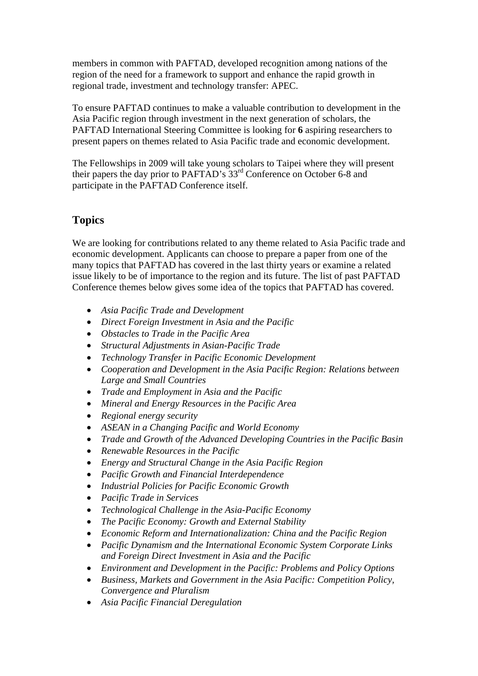members in common with PAFTAD, developed recognition among nations of the region of the need for a framework to support and enhance the rapid growth in regional trade, investment and technology transfer: APEC.

To ensure PAFTAD continues to make a valuable contribution to development in the Asia Pacific region through investment in the next generation of scholars, the PAFTAD International Steering Committee is looking for **6** aspiring researchers to present papers on themes related to Asia Pacific trade and economic development.

The Fellowships in 2009 will take young scholars to Taipei where they will present their papers the day prior to PAFTAD's 33<sup>rd</sup> Conference on October 6-8 and participate in the PAFTAD Conference itself.

## **Topics**

We are looking for contributions related to any theme related to Asia Pacific trade and economic development. Applicants can choose to prepare a paper from one of the many topics that PAFTAD has covered in the last thirty years or examine a related issue likely to be of importance to the region and its future. The list of past PAFTAD Conference themes below gives some idea of the topics that PAFTAD has covered.

- *Asia Pacific Trade and Development*
- *Direct Foreign Investment in Asia and the Pacific*
- *Obstacles to Trade in the Pacific Area*
- *Structural Adjustments in Asian-Pacific Trade*
- *Technology Transfer in Pacific Economic Development*
- *Cooperation and Development in the Asia Pacific Region: Relations between Large and Small Countries*
- *Trade and Employment in Asia and the Pacific*
- *Mineral and Energy Resources in the Pacific Area*
- *Regional energy security*
- *ASEAN in a Changing Pacific and World Economy*
- *Trade and Growth of the Advanced Developing Countries in the Pacific Basin*
- *Renewable Resources in the Pacific*
- *Energy and Structural Change in the Asia Pacific Region*
- *Pacific Growth and Financial Interdependence*
- *Industrial Policies for Pacific Economic Growth*
- *Pacific Trade in Services*
- *Technological Challenge in the Asia-Pacific Economy*
- *The Pacific Economy: Growth and External Stability*
- *Economic Reform and Internationalization: China and the Pacific Region*
- *Pacific Dynamism and the International Economic System Corporate Links and Foreign Direct Investment in Asia and the Pacific*
- *Environment and Development in the Pacific: Problems and Policy Options*
- *Business, Markets and Government in the Asia Pacific: Competition Policy, Convergence and Pluralism*
- *Asia Pacific Financial Deregulation*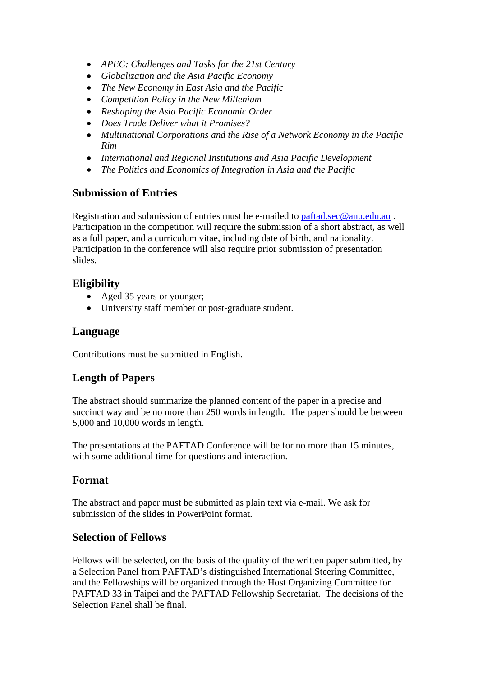- *APEC: Challenges and Tasks for the 21st Century*
- *Globalization and the Asia Pacific Economy*
- *The New Economy in East Asia and the Pacific*
- *Competition Policy in the New Millenium*
- *Reshaping the Asia Pacific Economic Order*
- *Does Trade Deliver what it Promises?*
- *Multinational Corporations and the Rise of a Network Economy in the Pacific Rim*
- *International and Regional Institutions and Asia Pacific Development*
- *The Politics and Economics of Integration in Asia and the Pacific*

## **Submission of Entries**

Registration and submission of entries must be e-mailed to [paftad.sec@anu.edu.au](mailto:paftad.sec@anu.edu.au) . Participation in the competition will require the submission of a short abstract, as well as a full paper, and a curriculum vitae, including date of birth, and nationality. Participation in the conference will also require prior submission of presentation slides.

## **Eligibility**

- Aged 35 years or younger;
- University staff member or post-graduate student.

## **Language**

Contributions must be submitted in English.

## **Length of Papers**

The abstract should summarize the planned content of the paper in a precise and succinct way and be no more than 250 words in length. The paper should be between 5,000 and 10,000 words in length.

The presentations at the PAFTAD Conference will be for no more than 15 minutes, with some additional time for questions and interaction.

#### **Format**

The abstract and paper must be submitted as plain text via e-mail. We ask for submission of the slides in PowerPoint format.

#### **Selection of Fellows**

Fellows will be selected, on the basis of the quality of the written paper submitted, by a Selection Panel from PAFTAD's distinguished International Steering Committee, and the Fellowships will be organized through the Host Organizing Committee for PAFTAD 33 in Taipei and the PAFTAD Fellowship Secretariat. The decisions of the Selection Panel shall be final.